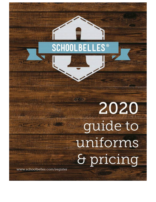# **SCHOOLBELLES**  $^{\circ}$

# 新学院 2020 guide to uniforms & pricing

www.schoolbelles.com/register

Milk Baker

Huia

 $\mathbb{R}$  , like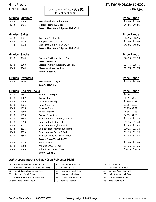| <b>Girls Program</b> |                      |                                                                 | <b>ST. SYMPHOROSA SCHOOL</b><br>Chicago, IL |
|----------------------|----------------------|-----------------------------------------------------------------|---------------------------------------------|
| <b>Grades PK-8</b>   |                      | Use your school code <b>SO789</b>                               |                                             |
|                      |                      | for online shopping                                             |                                             |
| Grades               | <u>Jumpers</u>       |                                                                 | <b>Price Range</b>                          |
| $K - 3$              | 1406                 | Round Neck Pleated Jumper                                       | \$44.95 - \$48.95                           |
| $K - 3$              | 1416                 | V-Neck Pleated Jumper                                           | \$44.95 - \$48.95                           |
|                      |                      | <b>Colors: Navy Glen Polyester Plaid-331</b>                    |                                             |
| <b>Grades Skirts</b> |                      |                                                                 | <b>Price Range</b>                          |
| $4 - 8$              | 1521                 | Two Kick Pleated Skirt                                          | \$44.95 - \$48.95                           |
| $4 - 8$              | 1525                 | Wrap Around Kilt Skirt                                          | \$47.95 - \$49.95                           |
| $4 - 8$              | 1533                 | Side Pleat Skort w/ Knit Short                                  | \$45.95 - \$49.95                           |
|                      |                      | <b>Colors: Navy Glen Polyester Plaid-331</b>                    |                                             |
| Grades Slacks        |                      |                                                                 | <b>Price Range</b>                          |
| $K - 8$              | 3244                 | <b>Brushed Twill StraightLeg Pant</b><br><b>Colors: Navy-15</b> | $$26.95 - $33.50$                           |
| K - 8                | 8263                 | Classroom Stretch Narrow Leg Pant                               | $$21.75 - $29.75$                           |
| K - 8                | 8364                 | Classroom Flare Leg Pant                                        | $$21.75 - $31.75$                           |
|                      |                      | <b>Colors: Khaki-27</b>                                         |                                             |
| <b>Grades</b>        | <b>Sweaters</b>      |                                                                 | <b>Price Range</b>                          |
| $K - 8$              | 1970                 | Round Neck Cardigan                                             | \$29.50 - \$37.95                           |
|                      |                      | <b>Colors: Navy-15</b>                                          |                                             |
| Grades               | <b>Hosiery/Socks</b> |                                                                 | <b>Price Range</b>                          |
| $K - 8$              | 1601                 | Acrylic Knee High                                               | $$4.99 - $4.99$                             |
| K - 8                | 1602                 | Cotton Knee High                                                | $$4.99 - $4.99$                             |
| K - 8                | 1605                 | Opaque Knee High                                                | $$4.99 - $4.99$                             |
| K - 8                | 1621                 | Pima Knee High                                                  | $$5.65 - $5.65$                             |
| K - 8                | 1625                 | Opaque Tight                                                    | $$6.75 - $9.99$                             |
| K - 8                | 1650                 | <b>Turn Cuff Sock</b>                                           | $$4.65 - $4.65$                             |
| K - 8                | 1653                 | <b>Cotton Crew Sock</b>                                         | $$4.65 - $4.65$                             |
| K - 8                | 8602                 | Bamboo Cable Knee High 3 Pack                                   | $$14.35 - $14.35$                           |
| K - 8                | 8613                 | <b>Bamboo Cable Knit Tights</b>                                 | $$13.35 - $15.40$                           |
| K - 8                | 8621                 | Bamboo Knee High - 3 Pack                                       | $$15.40 - $15.40$                           |
| K - 8                | 8625                 | Bamboo Flat Knit Opaque Tights                                  | $$10.25 - $12.30$                           |
| K - 8                | 8653                 | Bamboo Crew Sock - 3 Pack                                       | $$11.30 - $11.30$                           |
| K - 8                | 8655                 | Bamboo Triple Roll Sock 3 Pack                                  | $$15.40 - $15.40$                           |
|                      |                      | Colors: Navy-15, White-17                                       |                                             |
| K - 8                | 1615                 | Flat Knit Tight                                                 | $$13.95 - $13.95$                           |
| K - 8                | 8660                 | Athletic Crew - 3 Pack                                          | $$14.35 - $14.35$                           |
| K - 8                | 8665                 | Athletic No-Show - 3 Pack                                       | $$10.25 - $10.25$                           |
|                      |                      | <b>Colors: White-17</b>                                         |                                             |

### **Hair Accessories- 331-Navy Glen Polyester Plaid**

| Round Button Bow on Headband       | Spiked Bow Barrette               | Rosette Clip                   |
|------------------------------------|-----------------------------------|--------------------------------|
| 70                                 | 81                                | 105                            |
| Two Layered Button Bow on Headband | Ribbon Splash                     | Small Plaid Hair Bow           |
| 71                                 | -82                               | 107                            |
| Round Button Bow on Barrette       | <b>Headband with Elastic</b>      | Cinched Plaid Headband         |
| 72                                 | 93                                | 108                            |
| Mini Plaid Pigtail Bows            | <b>Headband with Bow</b>          | <b>Plaid Streamer Hair Bow</b> |
| 75                                 | 95                                | 109                            |
| Small Carnival Bow on Headband     | <b>Traditional Headband</b><br>98 | Flower on Headband<br>111      |
| 78 Small Plaid Carnival Bow        | Pony Tail Holder<br>99            | <b>Plaid Cheer Bow</b><br>118  |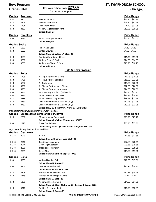| <b>Boys Program</b> |                                      |                                                            | <b>ST. SYMPHOROSA SCHOOL</b> |
|---------------------|--------------------------------------|------------------------------------------------------------|------------------------------|
|                     |                                      | Use your school code <b>SO789</b>                          |                              |
| <b>Grades PK-8</b>  |                                      |                                                            | Chicago, IL                  |
|                     |                                      | for online shopping                                        |                              |
| Grades              | <b>Trousers</b>                      |                                                            | <b>Price Range</b>           |
| K - 8               | 5202                                 | <b>Plain Front Pants</b>                                   | \$24.50 - \$32.95            |
| $K - 8$             | 5203                                 | <b>Pleated Front Pants</b>                                 | $$24.50 - $32.95$            |
| K - 8               | 5208                                 | <b>Plain Front Pants</b>                                   | $$24.50 - $31.95$            |
|                     |                                      |                                                            |                              |
| K - 8               | 8332                                 | Narrow Leg Flat Front Pant                                 | \$19.95 - \$30.95            |
|                     |                                      | <b>Colors: Khaki-27</b>                                    |                              |
| Grades              | <b>Sweaters</b>                      |                                                            | <b>Price Range</b>           |
| K - 8               | 5912                                 | V-Neck Cardigan Sweater                                    | $$33.95 - $43.50$            |
|                     |                                      | <b>Colors: Navy-15</b>                                     |                              |
| <b>Grades Socks</b> |                                      |                                                            | <b>Price Range</b>           |
| K - 8               | 1622                                 | Pima Ankle Sock                                            | $$4.40 - $4.40$              |
| K - 8               | 1653                                 | <b>Cotton Crew Sock</b>                                    | $$4.65 - $4.65$              |
|                     |                                      | Colors: Navy-15, White-17, Black-22                        |                              |
| K - 8               | 8653                                 | Bamboo Crew Sock - 3 Pack                                  | $$11.30 - $11.30$            |
| K - 8               | 8660                                 | Athletic Crew - 3 Pack                                     | $$14.35 - $14.35$            |
| K - 8               | 8665                                 | Athletic No-Show - 3 Pack                                  | $$10.25 - $10.25$            |
|                     |                                      | <b>Colors: White-17</b>                                    |                              |
|                     |                                      |                                                            |                              |
|                     |                                      | <b>Girls &amp; Boys Program</b>                            |                              |
| Grades              | <b>Polos</b>                         |                                                            | <b>Price Range</b>           |
| K - 8               | 5705                                 | A+ Pique Polo Short Sleeve                                 | $$16.95 - $20.95$            |
| K - 8               | 5706                                 | A+ Pique Polo Long Sleeve                                  | $$18.95 - $22.95$            |
| K - 8               | 5707                                 | A+Turtleneck                                               | $$18.00 - $22.00$            |
| K - 8               | 5708                                 | A+ Ribbed Bottom Short Sleeve                              | $$22.50 - $26.50$            |
| K - 8               | 5709                                 | A+ Ribbed Bottom Long Sleeve                               | \$24.50 - \$28.50            |
| K - 8               | 5730                                 | A+ Fitted Pique Polo SS (Girls Only)                       | $$17.95 - $21.95$            |
| K - 8               | 5735                                 | A+ Jersey Polo Short Sleeve                                | $$16.95 - $20.95$            |
| K - 8               | 5736                                 | A+ Jersey Polo Long Sleeve                                 | $$18.95 - $22.95$            |
| K - 8               | 8730                                 | Classroom Fitted Polo SS (Girls Only)                      | $$17.95 - $21.95$            |
| K - 8               | 8731                                 | Classroom Fitted Polo LS (Girls Only)                      | \$19.95 - \$23.95            |
|                     |                                      |                                                            |                              |
|                     |                                      | Colors: Navy-15 (Boys Only), White-17 (Girls Only)         |                              |
|                     |                                      | Monogrammed sweatshirt may be worn in class                |                              |
|                     |                                      | Grades Embroidered Sweatshirt & Pullover                   | <b>Price Range</b>           |
| K - 8               | 2056                                 | Monogrammed Sweatshirt                                     | \$23.70 - \$29.70            |
|                     |                                      | Colors: Navy with School Monogram-15/0789                  |                              |
| K - 8               | 2327                                 | Space Dye Pullover                                         | \$30.90 - \$37.30            |
|                     |                                      | Colors: Navy Space Dye with School Mongram-61/0789         |                              |
|                     | Gym wear is required for PK3 and PK4 |                                                            |                              |
| <b>Grades</b>       | <b>Gym Wear</b>                      |                                                            | <b>Price Range</b>           |
| <b>PK - 8</b>       | 2020                                 | T-Shirt                                                    | $$11.85 - $11.85$            |
|                     |                                      | Colors: Gold with School Logo-39/0789                      |                              |
| PK - 8              | 2040                                 | <b>Traditional Sweatpant</b>                               | $$22.65 - $28.65$            |
| <b>PK - 8</b>       | 2044                                 | Open Leg Sweatpant                                         | $$23.65 - $29.65$            |
| <b>PK - 8</b>       | 2050                                 | <b>Traditional Sweatshirt</b>                              | $$22.65 - $28.65$            |
| <b>PK - 8</b>       | 2069                                 | Jersey Short                                               | \$15.00 - \$17.00            |
|                     |                                      | Colors: Navy with School Logo-15/0789                      |                              |
| <b>Grades</b>       | <b>Belts</b>                         |                                                            | <b>Price Range</b>           |
| K - 8               | 6305                                 | Wide All Leather Belt                                      | \$17.50 - \$17.50            |
|                     |                                      | Colors: Black-22, Brown-23                                 |                              |
| K - 8               | 6306                                 | Leather Reversible Belt                                    | $$14.25 - $14.75$            |
|                     |                                      | <b>Colors: Black with Brown-2223</b>                       |                              |
| K - 8               | 6308                                 | Elastic Belt with Leather Tab                              | $$10.75 - $10.75$            |
| K - 8               | 6315                                 | Elastic Belt with Magnet Clasp                             | \$7.75 - \$7.75              |
|                     |                                      | Colors: Navy-15, Black-22                                  |                              |
| K - 8               | 6309                                 | Narrow All Leather Belt                                    | $$14.50 - $14.50$            |
|                     |                                      |                                                            |                              |
|                     |                                      | Colors: Navy-15, Black-22, Brown-23, Black with Brown-2223 |                              |
| K - 8               | 6310                                 | <b>Braided All Leather Belt</b>                            | $$10.75 - $12.99$            |

**Toll-Free Phone Orders 1-888-637-3037 Pricing Subject to Change** Monday, March 30, 2020 Rep280

**Colors: Navy-15, Brown-23**